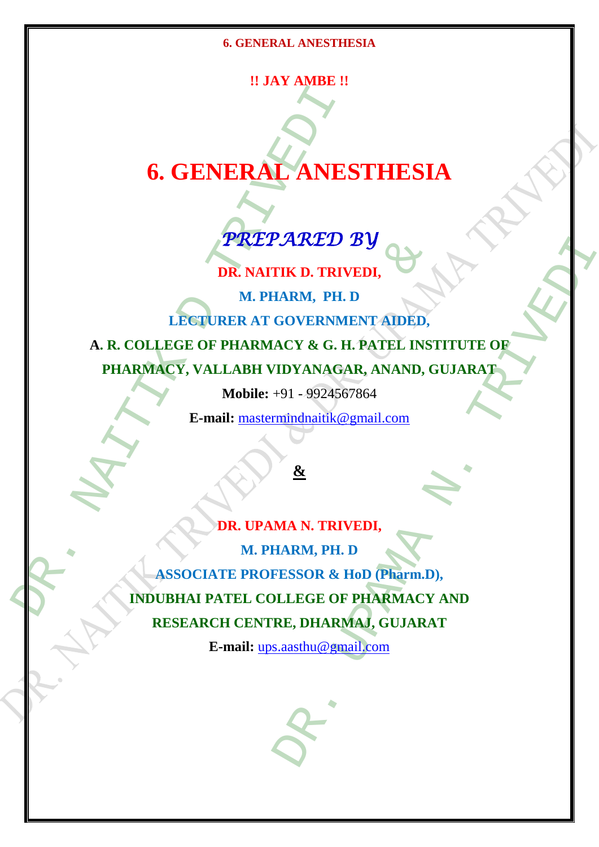# **!! JAY AMBE !!**

# **6. GENERAL ANESTHESIA**

# *PREPARED BY*

**DR. NAITIK D. TRIVEDI,**

**M. PHARM, PH. D LECTURER AT GOVERNMENT AIDED, A. R. COLLEGE OF PHARMACY & G. H. PATEL INSTITUTE OF** 

**PHARMACY, VALLABH VIDYANAGAR, ANAND, GUJARAT**

**Mobile:** +91 - 9924567864

**E-mail:** [mastermindnaitik@gmail.com](mailto:mastermindnaitik@gmail.com)

# **&**

**6. GENERAL ANES<br>
PREPARED :<br>
PREPARED :<br>
DR. NAITIK D. TRIV<br>
M. PHARM, PH. 1<br>
LECTURER AT GOVERNM<br>
A. R. COLLEGE OF PHARMACY & G. H<br>
PHARMACY, VALLABH VIDYANAGA<br>
Mobile: +91 - 9924567<br>
E-mail: mastermindnaitik@1<br>
Mobile:** DR. NAITIK D. TRIVEDI,<br>
M. PHARM, PH. D<br>
LECTURER AT GOVERNMENT ADED,<br>
EGE OF PHARMACY & G. H. PATEL INST<br>
CY, VALLABH VIDYANAGAR, ANAND, G<br>
Mobile: +91 - 9924567864<br>
E-mail: mastermindnaitik@gmail.com<br>
DR. UPAMA N. TRIVED VARED BY<br>
IRED. TRIVEDI,<br>
HARM, PH. D<br>
GOVERNMENT AIDED,<br>
ACY & G. H. PATEL INSTITUTE OF<br>
TDYANAGAR, ANAND, GUJARAT<br>
+91 - 9924567864<br>

THARMARA, ANAND, GUJARAT<br>
AA N. TRIVEDI,<br>
JAA N. TRIVEDI,<br>
JAA N. TRIVEDI,<br>
JARM, PH. **DR. UPAMA N. TRIVEDI, M. PHARM, PH. D ASSOCIATE PROFESSOR & HoD (Pharm.D), INDUBHAI PATEL COLLEGE OF PHARMACY AND RESEARCH CENTRE, DHARMAJ, GUJARAT**

**E-mail:** [ups.aasthu@gmail.com](mailto:ups.aasthu@gmail.com)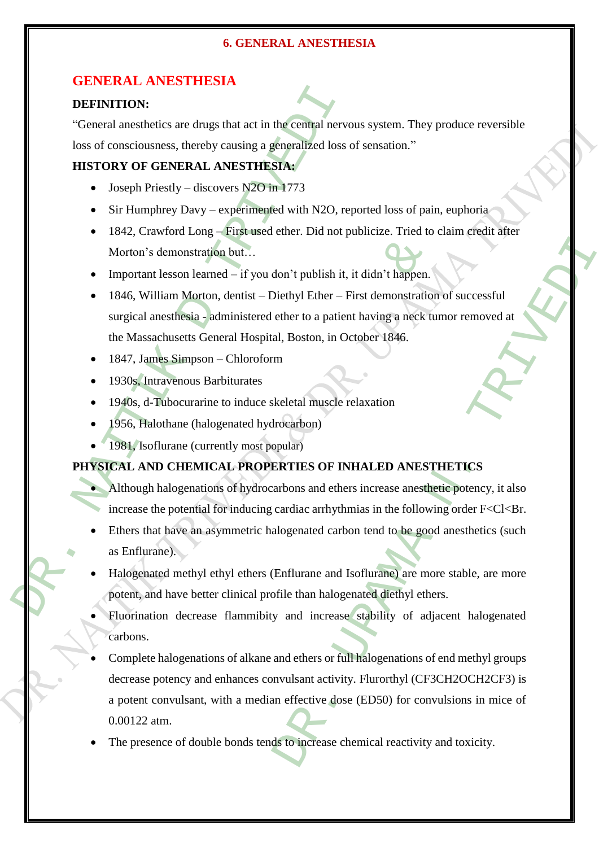# **GENERAL ANESTHESIA**

#### **DEFINITION:**

"General anesthetics are drugs that act in the central nervous system. They produce reversible loss of consciousness, thereby causing a generalized loss of sensation."

# **HISTORY OF GENERAL ANESTHESIA:**

- Joseph Priestly discovers N2O in 1773
- Sir Humphrey Davy experimented with N2O, reported loss of pain, euphoria
- 1842, Crawford Long First used ether. Did not publicize. Tried to claim credit after Morton's demonstration but…
- Important lesson learned if you don't publish it, it didn't happen.
- DEFINITION:<br>
"General anesthetics are drugs that act in the central nervo<br>
loss of consciousness, thereby causing a generalized loss of<br>
HISTORY OF GENERAL ANESTHESIA:<br>
5 Joseph Priestly discovers N2O in 1773<br>
5 Sir Hump monstration but...<br>
sson learned – if you don't publish it, it didn't happen.<br>
um Morton, dentist – Diethyl Ether – First demonstration<br>
sthesia - administered ether to a patient having a neck tu<br>
usetts General Hospital, • 1846, William Morton, dentist – Diethyl Ether – First demonstration of successful surgical anesthesia - administered ether to a patient having a neck tumor removed at the Massachusetts General Hospital, Boston, in October 1846.
	- 1847, James Simpson Chloroform
	- 1930s, Intravenous Barbiturates
	- 1940s, d-Tubocurarine to induce skeletal muscle relaxation
	- 1956, Halothane (halogenated hydrocarbon)
	- 1981, Isoflurane (currently most popular)

# **PHYSICAL AND CHEMICAL PROPERTIES OF INHALED ANESTHETICS**

- Although halogenations of hydrocarbons and ethers increase anesthetic potency, it also increase the potential for inducing cardiac arrhythmias in the following order  $F < C < Br$ .
- Ethers that have an asymmetric halogenated carbon tend to be good anesthetics (such as Enflurane).
- Halogenated methyl ethyl ethers (Enflurane and Isoflurane) are more stable, are more potent, and have better clinical profile than halogenated diethyl ethers.
- Fluorination decrease flammibity and increase stability of adjacent halogenated carbons.
- For the publish it, it didn't happen.<br>
Diethyl Ether First demonstration of successful<br>
ether to a patient having a neck tumor removed at<br>
al, Boston, in October 1846.<br>
m<br>
Reletal muscle relaxation<br>
rocarbon)<br>
Reletal mu Complete halogenations of alkane and ethers or full halogenations of end methyl groups decrease potency and enhances convulsant activity. Flurorthyl (CF3CH2OCH2CF3) is a potent convulsant, with a median effective dose (ED50) for convulsions in mice of 0.00122 atm.
- The presence of double bonds tends to increase chemical reactivity and toxicity.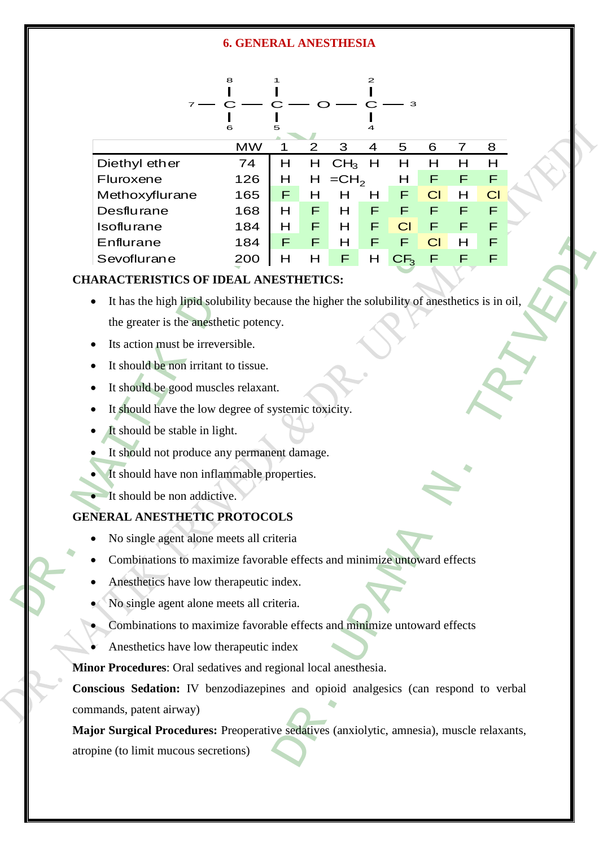|                                                                                         |                                                                          | 8         |   |   |                 | 2 |                 |    |   |           |  |
|-----------------------------------------------------------------------------------------|--------------------------------------------------------------------------|-----------|---|---|-----------------|---|-----------------|----|---|-----------|--|
|                                                                                         |                                                                          | 6         | 5 |   |                 | 4 | з               |    |   |           |  |
|                                                                                         |                                                                          | <b>MW</b> | 1 | 2 | 3               | 4 | 5               | 6  | 7 | 8         |  |
|                                                                                         | Diethyl ether                                                            | 74        | H | H | CH <sub>3</sub> | H | Н               | Н  | Н | н         |  |
|                                                                                         | Fluroxene                                                                | 126       | Н | H | $=CH2$          |   | н               | F  | F | F         |  |
|                                                                                         | Methoxyflurane                                                           | 165       | F | Н | н               | н | F               | CI | н | <b>CI</b> |  |
|                                                                                         | Desflurane                                                               | 168       | H | F | H               | F | F               | F  | F | F         |  |
|                                                                                         | Isoflurane                                                               | 184       | н | F | н               | F | CI              | F  | F | F         |  |
|                                                                                         | Enflurane                                                                | 184       | F | F | Н               | F | F               | CI | н | F         |  |
|                                                                                         | Sevoflurane                                                              | 200       | Н | Н | F               | H | CF <sub>3</sub> | F  | F | F         |  |
| <b>CHARACTERISTICS OF IDEAL ANESTHETICS:</b>                                            |                                                                          |           |   |   |                 |   |                 |    |   |           |  |
| It has the high lipid solubility because the higher the solubility of anesthetics is in |                                                                          |           |   |   |                 |   |                 |    |   |           |  |
| the greater is the anesthetic potency.                                                  |                                                                          |           |   |   |                 |   |                 |    |   |           |  |
| Its action must be irreversible.                                                        |                                                                          |           |   |   |                 |   |                 |    |   |           |  |
| It should be non irritant to tissue.                                                    |                                                                          |           |   |   |                 |   |                 |    |   |           |  |
|                                                                                         |                                                                          |           |   |   |                 |   |                 |    |   |           |  |
| It should be good muscles relaxant.                                                     |                                                                          |           |   |   |                 |   |                 |    |   |           |  |
|                                                                                         | It should have the low degree of systemic toxicity.                      |           |   |   |                 |   |                 |    |   |           |  |
| It should be stable in light.                                                           |                                                                          |           |   |   |                 |   |                 |    |   |           |  |
| It should not produce any permanent damage.                                             |                                                                          |           |   |   |                 |   |                 |    |   |           |  |
| It should have non inflammable properties.                                              |                                                                          |           |   |   |                 |   |                 |    |   |           |  |
|                                                                                         | It should be non addictive.                                              |           |   |   |                 |   |                 |    |   |           |  |
|                                                                                         | <b>GENERAL ANESTHETIC PROTOCOLS</b>                                      |           |   |   |                 |   |                 |    |   |           |  |
|                                                                                         | No single agent alone meets all criteria                                 |           |   |   |                 |   |                 |    |   |           |  |
|                                                                                         | Combinations to maximize favorable effects and minimize untoward effects |           |   |   |                 |   |                 |    |   |           |  |
|                                                                                         | Anesthetics have low therapeutic index.                                  |           |   |   |                 |   |                 |    |   |           |  |
|                                                                                         | No single agent alone meets all criteria.                                |           |   |   |                 |   |                 |    |   |           |  |

# **CHARACTERISTICS OF IDEAL ANESTHETICS:**

- **EXECTS OF IDEAL ANESTHETICS:**<br>
TICS OF IDEAL ANESTHETICS:<br>
the inpide solubility because the higher the solubility of an<br>
st the anesthetic potency.<br>
ust be irreversible.<br>
non irritant to tissue.<br>
good muscles relaxant.<br> It has the high lipid solubility because the higher the solubility of anesthetics is in oil, the greater is the anesthetic potency.
- Its action must be irreversible.
- It should be non irritant to tissue.
- It should be good muscles relaxant.
- It should have the low degree of systemic toxicity.
- It should be stable in light.
- It should not produce any permanent damage.
	- It should have non inflammable properties.
- It should be non addictive.

# **GENERAL ANESTHETIC PROTOCOLS**

- No single agent alone meets all criteria
- Combinations to maximize favorable effects and minimize untoward effects
- Anesthetics have low therapeutic index.
- No single agent alone meets all criteria.
- Combinations to maximize favorable effects and minimize untoward effects
- Anesthetics have low therapeutic index

**Minor Procedures**: Oral sedatives and regional local anesthesia.

DR. UPAMA N. TRIVEDI **Conscious Sedation:** IV benzodiazepines and opioid analgesics (can respond to verbal commands, patent airway)

**Major Surgical Procedures:** Preoperative sedatives (anxiolytic, amnesia), muscle relaxants, atropine (to limit mucous secretions)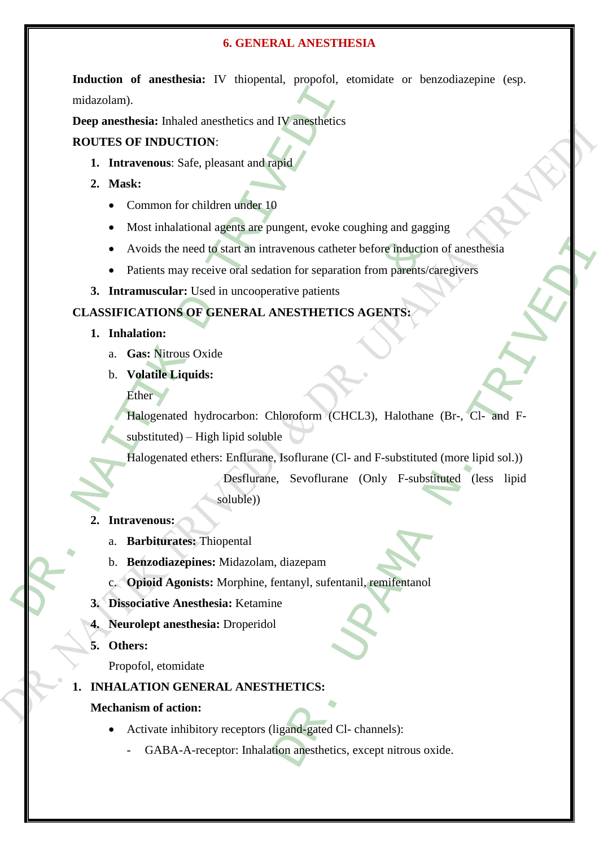**Induction of anesthesia:** IV thiopental, propofol, etomidate or benzodiazepine (esp. midazolam).

**Deep anesthesia:** Inhaled anesthetics and IV anesthetics

# **ROUTES OF INDUCTION**:

- **1. Intravenous**: Safe, pleasant and rapid
- **2. Mask:** 
	- Common for children under 10
	- Most inhalational agents are pungent, evoke coughing and gagging
	- Avoids the need to start an intravenous catheter before induction of anesthesia
	- Patients may receive oral sedation for separation from parents/caregivers
- **3. Intramuscular:** Used in uncooperative patients

# **CLASSIFICATIONS OF GENERAL ANESTHETICS AGENTS:**

- **1. Inhalation:** 
	- a. **Gas:** Nitrous Oxide
	- b. **Volatile Liquids:**
		- Ether

midazolam).<br>
Deep anesthesia: Inhaled anesthetics and IV anesthetics<br>
ROUTES OF INDUCTION:<br>
1. Intravenous: Safe, pleasant and rapid<br>
2. Mask:<br>
• Common for children under 10<br>
• Most inhalational agents are pungent, evoke the need to start an intravenous catheter before induction<br>may receive oral sedation for separation from parents/calar: Used in uncooperative patients<br>MS OF GENERAL ANESTHETICS AGENTS:<br>trous Oxide<br>Liquids:<br>ated hydrocarbon Halogenated hydrocarbon: Chloroform (CHCL3), Halothane (Br-, Cl- and Fsubstituted) – High lipid soluble

Halogenated ethers: Enflurane, Isoflurane (Cl- and F-substituted (more lipid sol.))

Exercison Contracts and Determination of an extremely<br>
Sainter parameters and the parameters and the parameters and the parameters and F-<br>
MESTHETICS AGENTS:<br>
MORE THETICS AGENTS:<br>
A Long CHE CHE CHE CHE CHE CHE CHE CHE CH Desflurane, Sevoflurane (Only F-substituted (less lipid soluble))

# **2. Intravenous:**

- a. **Barbiturates:** Thiopental
- b. **Benzodiazepines:** Midazolam, diazepam
- c. **Opioid Agonists:** Morphine, fentanyl, sufentanil, remifentanol
- **3. Dissociative Anesthesia:** Ketamine
- **4. Neurolept anesthesia:** Droperidol
- **5. Others:**

Propofol, etomidate

# **1. INHALATION GENERAL ANESTHETICS:**

# **Mechanism of action:**

- Activate inhibitory receptors (ligand-gated Cl- channels):
	- GABA-A-receptor: Inhalation anesthetics, except nitrous oxide.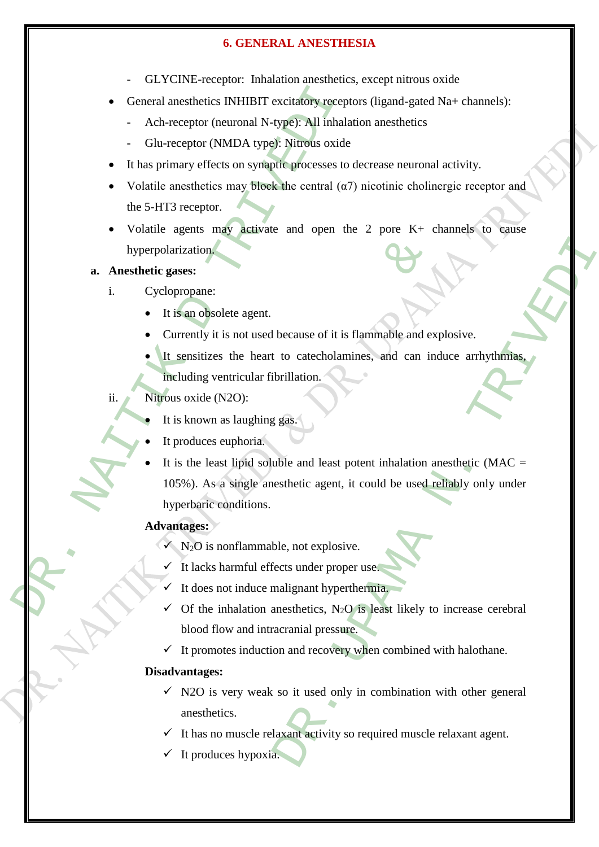- GLYCINE-receptor: Inhalation anesthetics, except nitrous oxide
- General anesthetics INHIBIT excitatory receptors (ligand-gated Na+ channels):
	- Ach-receptor (neuronal N-type): All inhalation anesthetics
	- Glu-receptor (NMDA type): Nitrous oxide
- It has primary effects on synaptic processes to decrease neuronal activity.
- Volatile anesthetics may block the central  $(\alpha 7)$  nicotinic cholinergic receptor and the 5-HT3 receptor.
- Volatile agents may activate and open the 2 pore K+ channels to cause hyperpolarization.
- **a. Anesthetic gases:** 
	- i. Cyclopropane:
		- It is an obsolete agent.
		- Currently it is not used because of it is flammable and explosive.
		- It sensitizes the heart to catecholamines, and can induce arrhythmias, including ventricular fibrillation.
	- ii. Nitrous oxide (N2O):
		- It is known as laughing gas.
		- It produces euphoria.
- General anesthetics INHIBIT excitatory recept<br>
 Ach-receptor (neuronal N-type): Nitrons oxide<br>
 Glu-receptor (NMDA type): Nitrons oxide<br>
 It has primary effects on synaptic processes to<br>
 Volatile anesthetics may b larization.<br> **Example 18.1**<br> **Example 18.1**<br> **Example 18.1**<br> **Example 18.1**<br> **Example 18.1**<br> **Example 18.1**<br> **Example 18.1**<br> **Example 18.1**<br> **Example 18.1**<br> **Example 18.1**<br> **Example 18.1**<br> **Example 18.1**<br> **Example 18.1**<br> because of it is flammable and explosive.<br>
to catecholamines, and can induce arrhythmias,<br>
forillation.<br>
1898.<br>
1998.<br>
1998.<br>
1998.<br>
1998.<br>
1998.<br>
1998.<br>
1999.<br>
1999.<br>
1999.<br>
2018.<br>
2018.<br>
2018.<br>
2018.<br>
2018.<br>
2018.<br>
2018. It is the least lipid soluble and least potent inhalation anesthetic ( $MAC =$ 105%). As a single anesthetic agent, it could be used reliably only under hyperbaric conditions.

#### **Advantages:**

- $N<sub>2</sub>O$  is nonflammable, not explosive.
- It lacks harmful effects under proper use.
- It does not induce malignant hyperthermia.
- $\checkmark$  Of the inhalation anesthetics, N<sub>2</sub>O is least likely to increase cerebral blood flow and intracranial pressure.
- $\checkmark$  It promotes induction and recovery when combined with halothane.

#### **Disadvantages:**

- $\checkmark$  N2O is very weak so it used only in combination with other general anesthetics.
- $\checkmark$  It has no muscle relaxant activity so required muscle relaxant agent.
- It produces hypoxia.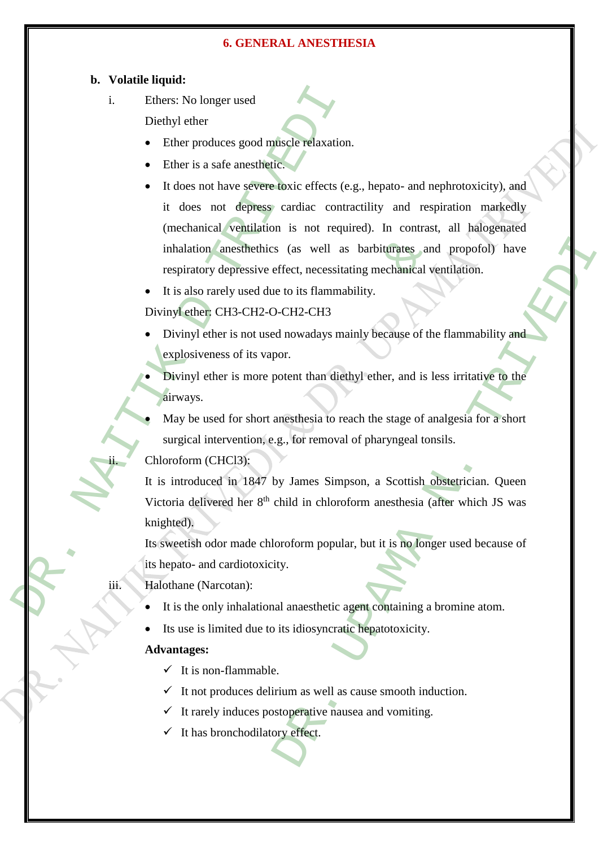#### **b. Volatile liquid:**

i. Ethers: No longer used

Diethyl ether

- Ether produces good muscle relaxation.
- Ether is a safe anesthetic.
- i. Ethers: No longer used<br>
Diethyl ether<br>
 Ether produces good muscle relaxation.<br>
 Ether is a safe anesthetic.<br>
 It does not have severe doxic effects (e.<br>
it does not depresse cardiac contra<br>
(mechanical ventilation) It does not have severe toxic effects (e.g., hepato- and nephrotoxicity), and it does not depress cardiac contractility and respiration markedly (mechanical ventilation is not required). In contrast, all halogenated inhalation anesthethics (as well as barbiturates and propofol) have respiratory depressive effect, necessitating mechanical ventilation.
	- It is also rarely used due to its flammability.

#### Divinyl ether: CH3-CH2-O-CH2-CH3

 Divinyl ether is not used nowadays mainly because of the flammability and explosiveness of its vapor.

 Divinyl ether is more potent than diethyl ether, and is less irritative to the airways.

 May be used for short anesthesia to reach the stage of analgesia for a short surgical intervention, e.g., for removal of pharyngeal tonsils.

Chloroform (CHCl3):

mhalation anesthethics (as well as barbiturates and<br>espiratory depressive effect, necessitating mechanical ve<br>t is also rarely used due to its flammability.<br>nyl ether CH3-CH2-O-CH2-CH3<br>Divinyl ether is not used nowadays m S (as well as barbiturates and propofol) have<br>
effect, necessitating mechanical ventilation.<br>
Let the the state of the flammability<br>
D-CH2-CH3<br>
anowadays mainly because of the flammability and<br>
oor.<br>
Let then diethyl ether It is introduced in 1847 by James Simpson, a Scottish obstetrician. Queen Victoria delivered her 8th child in chloroform anesthesia (after which JS was knighted).

Its sweetish odor made chloroform popular, but it is no longer used because of its hepato- and cardiotoxicity.

iii. Halothane (Narcotan):

- It is the only inhalational anaesthetic agent containing a bromine atom.
- Its use is limited due to its idiosyncratic hepatotoxicity.

#### **Advantages:**

- $\checkmark$  It is non-flammable.
- $\checkmark$  It not produces delirium as well as cause smooth induction.
- $\checkmark$  It rarely induces postoperative nausea and vomiting.
- It has bronchodilatory effect.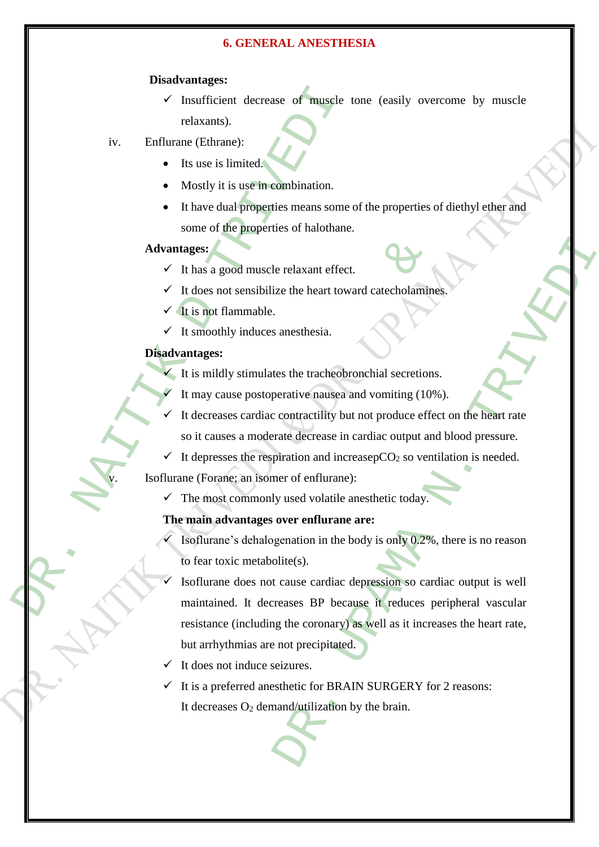#### **Disadvantages:**

- $\checkmark$  Insufficient decrease of muscle tone (easily overcome by muscle relaxants).
- iv. Enflurane (Ethrane):
	- Its use is limited.
	- Mostly it is use in combination.
	- It have dual properties means some of the properties of diethyl ether and some of the properties of halothane.

#### **Advantages:**

- $\checkmark$  It has a good muscle relaxant effect.
- $\checkmark$  It does not sensibilize the heart toward catecholamines.
- $\checkmark$  It is not flammable.
- $\checkmark$  It smoothly induces anesthesia.

#### **Disadvantages:**

- $\checkmark$  It is mildly stimulates the tracheobronchial secretions.
	- It may cause postoperative nausea and vomiting (10%).
- It decreases cardiac contractility but not produce effect on the heart rate so it causes a moderate decrease in cardiac output and blood pressure.
- $\checkmark$  It depresses the respiration and increasepCO<sub>2</sub> so ventilation is needed.

Isoflurane (Forane; an isomer of enflurane):

 $\checkmark$  The most commonly used volatile anesthetic today.

#### **The main advantages over enflurane are:**

- Isoflurane's dehalogenation in the body is only 0.2%, there is no reason to fear toxic metabolite(s).
- V Insufficient decrease of muscle treatments).<br>
iv. Enflurance (Ethrane):<br>
 Its use is limited.<br>
 Mostly it is use-in-combination.<br>
 It have dual properties means some<br>
some of the properties of halothane:<br>
<br>
∴ Thus a The main advantages and the beat toward catecholamine<br>
A It has a good muscle relaxant effect.<br>
A It shoot flammable.<br>
A It smoothly induces anesthesia.<br>
A It smoothly induces anesthesia.<br>
A It is mildly stimulates the tra e relaxant effect.<br>
The measure of the measurements are the tracheology and the tracheology and variating (10%).<br>
Contractility but not produce effect on the heart rate<br>
rate decrease in cardiac output and blood pressure.<br> Isoflurane does not cause cardiac depression so cardiac output is well maintained. It decreases BP because it reduces peripheral vascular resistance (including the coronary) as well as it increases the heart rate, but arrhythmias are not precipitated.
	- It does not induce seizures.
	- It is a preferred anesthetic for BRAIN SURGERY for 2 reasons: It decreases  $O_2$  demand/utilization by the brain.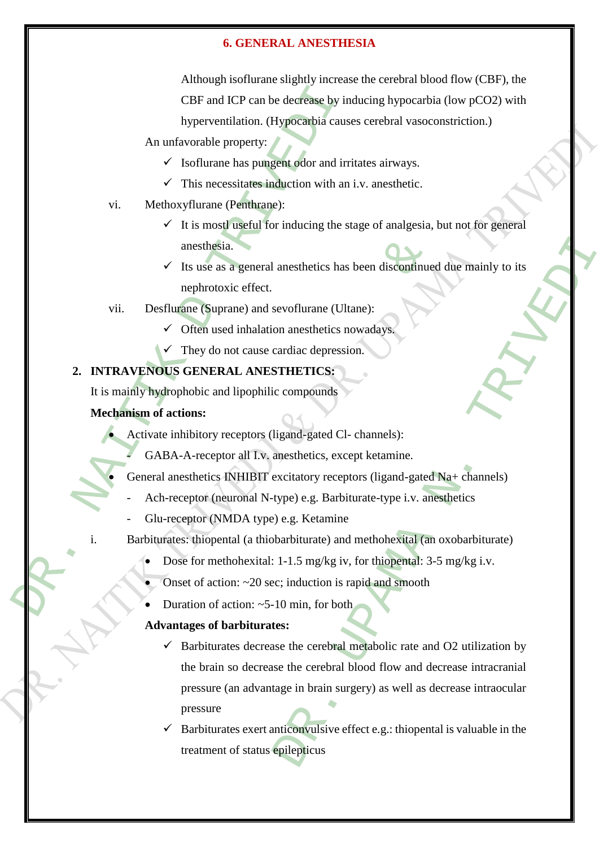CBF and ICP can be decrease by in<br>
hyperventilation. (Hypocarbia cause<br>
An unfavorable property:<br>  $\checkmark$  Isoflurane has puncertodor and irri<br>  $\checkmark$  This mecessitates induction with an<br>
vi. Methoxyflurane (Penthame):<br>  $\checkmark$ Although isoflurane slightly increase the cerebral blood flow (CBF), the CBF and ICP can be decrease by inducing hypocarbia (low pCO2) with hyperventilation. (Hypocarbia causes cerebral vasoconstriction.)

An unfavorable property:

- $\checkmark$  Isoflurane has pungent odor and irritates airways.
- $\checkmark$  This necessitates induction with an i.v. anesthetic.
- vi. Methoxyflurane (Penthrane):
	- $\checkmark$  It is mostl useful for inducing the stage of analgesia, but not for general anesthesia.
	- $\checkmark$  Its use as a general anesthetics has been discontinued due mainly to its nephrotoxic effect.

vii. Desflurane (Suprane) and sevoflurane (Ultane):

- $\checkmark$  Often used inhalation anesthetics nowadays
- They do not cause cardiac depression.

# **2. INTRAVENOUS GENERAL ANESTHETICS:**

It is mainly hydrophobic and lipophilic compounds

# **Mechanism of actions:**

Activate inhibitory receptors (ligand-gated Cl- channels):

GABA-A-receptor all I.v. anesthetics, except ketamine.

General anesthetics INHIBIT excitatory receptors (ligand-gated Na+ channels)

- Ach-receptor (neuronal N-type) e.g. Barbiturate-type i.v. anesthetics
- Glu-receptor (NMDA type) e.g. Ketamine
- i. Barbiturates: thiopental (a thiobarbiturate) and methohexital (an oxobarbiturate)
	- Dose for methohexital: 1-1.5 mg/kg iv, for thiopental: 3-5 mg/kg i.v.
	- Onset of action: ~20 sec; induction is rapid and smooth
	- Duration of action: ~5-10 min, for both

# **Advantages of barbiturates:**

anesthesia.<br>
V Its use as a general anesthetics has been discontinued<br>
nephrotoxic effect.<br>
Iurane (Suprane) and sevoflurane (Ultane):<br>
V Often used inhalation anesthetics nowadays.<br>
V They do not cause cardiac depression. anesthetics has been disconfinued due mainly to its<br>sevoflurane (Ultane):<br>on anesthetics nowadays.<br>THETICS:<br>compounds<br>ligand-gated Cl-channels):<br>anesthetics, except ketamine.<br>anesthetics, except ketamine.<br>xxitatory recepto Barbiturates decrease the cerebral metabolic rate and O2 utilization by the brain so decrease the cerebral blood flow and decrease intracranial pressure (an advantage in brain surgery) as well as decrease intraocular pressure

 Barbiturates exert anticonvulsive effect e.g.: thiopental is valuable in the treatment of status epilepticus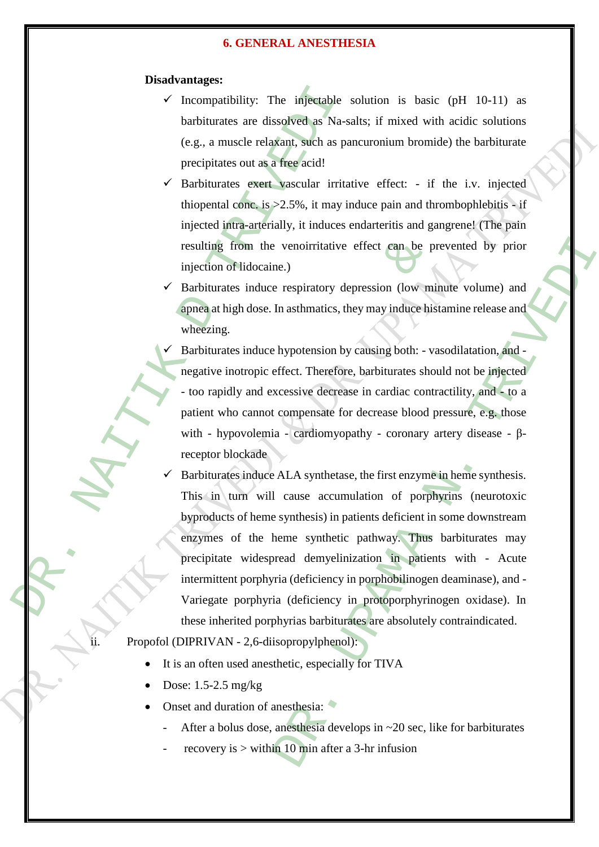#### **Disadvantages:**

- Incompatibility: The injectable solution is basic (pH 10-11) as barbiturates are dissolved as Na-salts; if mixed with acidic solutions (e.g., a muscle relaxant, such as pancuronium bromide) the barbiturate precipitates out as a free acid!
- $\checkmark$  Barbiturates exert vascular irritative effect: if the i.v. injected thiopental conc. is  $>2.5\%$ , it may induce pain and thrombophlebitis - if injected intra-arterially, it induces endarteritis and gangrene! (The pain resulting from the venoirritative effect can be prevented by prior injection of lidocaine.)
- Barbiturates induce respiratory depression (low minute volume) and apnea at high dose. In asthmatics, they may induce histamine release and wheezing.
	- Barbiturates induce hypotension by causing both: vasodilatation, and negative inotropic effect. Therefore, barbiturates should not be injected - too rapidly and excessive decrease in cardiac contractility, and - to a patient who cannot compensate for decrease blood pressure, e.g. those with - hypovolemia - cardiomyopathy - coronary artery disease - βreceptor blockade
- V Incompatibility: The injectable strates<br>
barbiturates are dissolved as Na-si<br>
(e.g., a muscle relaxant, such as pare<br>
precipitates out as a regacial!<br>
DR. Harbiturates exert Vascular irritation<br>
tinoperatal corre, is >2. resulting from the venoirritative effect can be proposed injection of fidocaine.)<br>
Barbiturates induce respiratory depression (low minimation and high dose. In asthmatics, they may induce his wheezing.<br>
Barbiturates induce venoirritative effect can be prevented by prior<br>
ne.)<br>
respiratory depression (low minute volume) and<br>
In asthmatics, they may induce histamine release and<br>
hypotension by causing both: - vasodilatation, and<br>
effect. Ther Barbiturates induce ALA synthetase, the first enzyme in heme synthesis. This in turn will cause accumulation of porphyrins (neurotoxic byproducts of heme synthesis) in patients deficient in some downstream enzymes of the heme synthetic pathway. Thus barbiturates may precipitate widespread demyelinization in patients with - Acute intermittent porphyria (deficiency in porphobilinogen deaminase), and - Variegate porphyria (deficiency in protoporphyrinogen oxidase). In these inherited porphyrias barbiturates are absolutely contraindicated.

Propofol (DIPRIVAN - 2,6-diisopropylphenol):

- It is an often used anesthetic, especially for TIVA
- Dose: 1.5-2.5 mg/kg
- Onset and duration of anesthesia:  $\bullet$ 
	- After a bolus dose, anesthesia develops in  $\sim$  20 sec, like for barbiturates
	- recovery is  $>$  within 10 min after a 3-hr infusion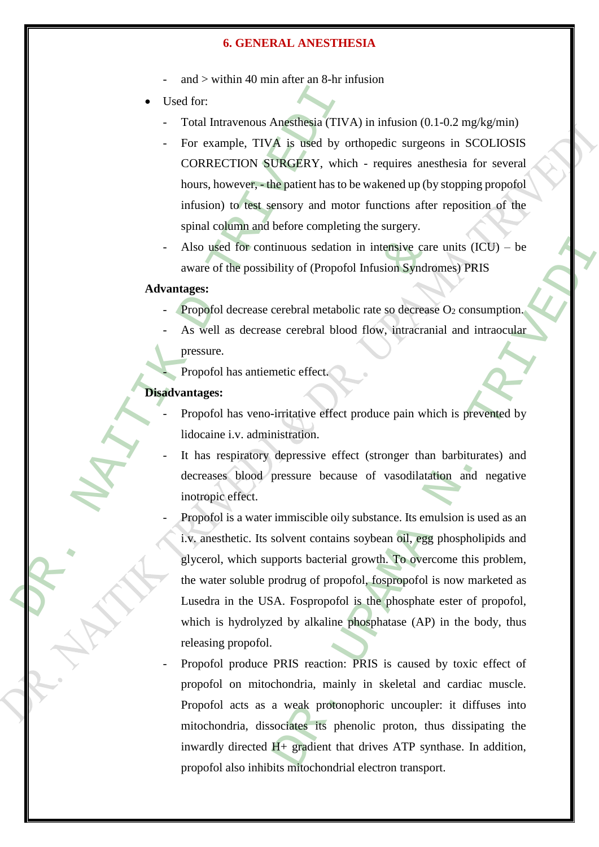- and  $>$  within 40 min after an 8-hr infusion
- Used for:
	- Total Intravenous Anesthesia (TIVA) in infusion (0.1-0.2 mg/kg/min)
	- For example, TIVA is used by orthopedic surgeons in SCOLIOSIS CORRECTION SURGERY, which - requires anesthesia for several hours, however, - the patient has to be wakened up (by stopping propofol infusion) to test sensory and motor functions after reposition of the spinal column and before completing the surgery.
	- Also used for continuous sedation in intensive care units  $(ICU) be$ aware of the possibility of (Propofol Infusion Syndromes) PRIS

#### **Advantages:**

- Propofol decrease cerebral metabolic rate so decrease  $O_2$  consumption.
- As well as decrease cerebral blood flow, intracranial and intraocular
	- pressure.
	- Propofol has antiemetic effect.

#### **Disadvantages:**

- Propofol has veno-irritative effect produce pain which is prevented by lidocaine i.v. administration.
- It has respiratory depressive effect (stronger than barbiturates) and decreases blood pressure because of vasodilatation and negative inotropic effect.
- ■<br>
Used for:<br>
Total Intravenous Angsfiesia (TIV)<br>
 For example, TIVA is used by or<br>
CORRECTION SURGERY, which<br>
hours, however,—the patient has to to<br>
infusion) to dest generor and motor<br>
spinal column and before completi Also used for continuous sedation in intensive care<br>aware of the possibility of (Propofol Infusion Syndro<br>antages:<br>Propofol decrease cerebral metabolic rate so decrease<br>As well as decrease cerebral blood flow, intracrani<br>p inuous sedation in intensive care units (ICU) – be<br>
ility of (Propofol Infusion Syndromes) PRIS<br>
verebral metabolic rate so decrease O<sub>2</sub> consumption.<br>
ce cerebral blood flow, intracranial and intraocular<br>
netic effect.<br>
i Propofol is a water immiscible oily substance. Its emulsion is used as an i.v. anesthetic. Its solvent contains soybean oil, egg phospholipids and glycerol, which supports bacterial growth. To overcome this problem, the water soluble prodrug of propofol, fospropofol is now marketed as Lusedra in the USA. Fospropofol is the phosphate ester of propofol, which is hydrolyzed by alkaline phosphatase (AP) in the body, thus releasing propofol.
	- Propofol produce PRIS reaction: PRIS is caused by toxic effect of propofol on mitochondria, mainly in skeletal and cardiac muscle. Propofol acts as a weak protonophoric uncoupler: it diffuses into mitochondria, dissociates its phenolic proton, thus dissipating the inwardly directed H+ gradient that drives ATP synthase. In addition, propofol also inhibits mitochondrial electron transport.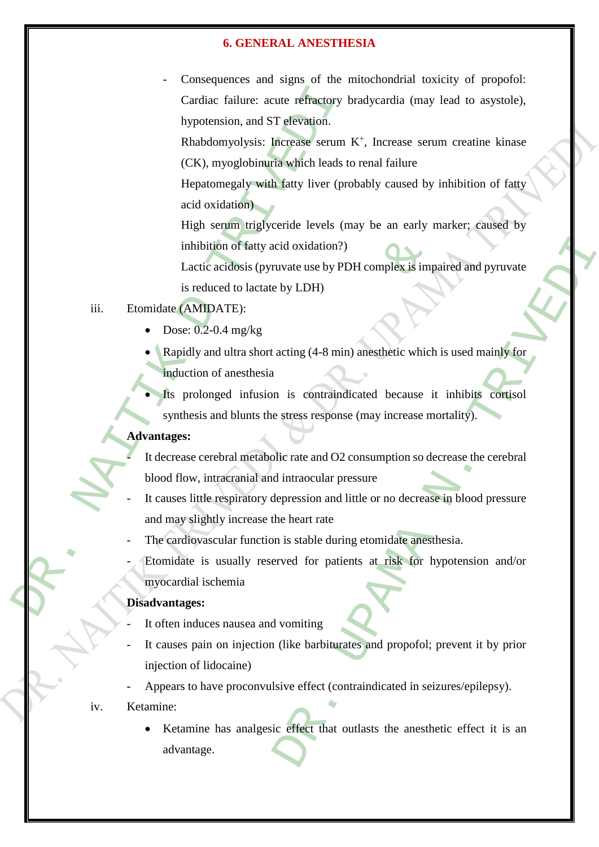Cardiac failure: acute refractory<br>
Mypotension, and ST elevation.<br>
Rhabdomyolysis: Increase serum<br>
(CK), myoglobing<br>
maximical technology of the serum in the propormer may be the serup of<br>
Hephatomegaly south faity tiver ( Consequences and signs of the mitochondrial toxicity of propofol: Cardiac failure: acute refractory bradycardia (may lead to asystole), hypotension, and ST elevation.

Rhabdomyolysis: Increase serum K<sup>+</sup>, Increase serum creatine kinase (CK), myoglobinuria which leads to renal failure

Hepatomegaly with fatty liver (probably caused by inhibition of fatty acid oxidation)

High serum triglyceride levels (may be an early marker; caused by inhibition of fatty acid oxidation?)

Lactic acidosis (pyruvate use by PDH complex is impaired and pyruvate is reduced to lactate by LDH)

- iii. Etomidate (AMIDATE):
	- Dose: 0.2-0.4 mg/kg
	- Rapidly and ultra short acting (4-8 min) anesthetic which is used mainly for induction of anesthesia

Its prolonged infusion is contraindicated because it inhibits cortisol synthesis and blunts the stress response (may increase mortality).

# **Advantages:**

inhibition of fatty acid oxidation?)<br>
Lactic acidosis (pyruvate use by PDH complex is imp<br>
is reduced to lactate by LDH)<br>
te (AMIDATE):<br>
Dose: 0.2-0.4 mg/kg<br>
Rapidly and ultra short acting (4-8 min) anesthetic which<br>
mduct It decrease cerebral metabolic rate and O2 consumption so decrease the cerebral blood flow, intracranial and intraocular pressure

- It causes little respiratory depression and little or no decrease in blood pressure and may slightly increase the heart rate
- The cardiovascular function is stable during etomidate anesthesia.
- Etomidate is usually reserved for patients at risk for hypotension and/or myocardial ischemia

#### **Disadvantages:**

- It often induces nausea and vomiting
- It causes pain on injection (like barbiturates and propofol; prevent it by prior injection of lidocaine)
- Appears to have proconvulsive effect (contraindicated in seizures/epilepsy).
- iv. Ketamine:
- cid oxidation?)<br>
uvate use by PDH complex is impaired and pyruvate<br>
by LDH)<br>
acting (4-8 min) anesthetic which is used mainly for<br>
n is contraindicated because it inhibits contisol<br>
stress response (may increase mortality) Ketamine has analgesic effect that outlasts the anesthetic effect it is an advantage.